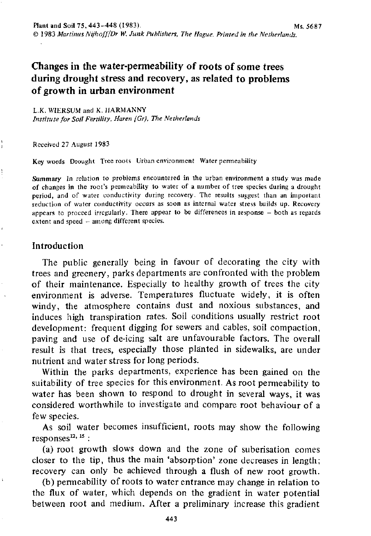# **Changes in the water-permeability of roots of some trees during drought stress and recovery, as related to problems of growth in urban environment**

#### L.K. WIERSUM and K. HARMANNY

*Institute for Soil Fertility, Haren (Gr), The Netherlands* 

Received 27 August 1983

Key words Drought Tree roots Urban environment Water permeability

**Summary** In relation to problems encountered in the urban environment a study was made of changes in the root's permeability to water of a number of tree species during a drought period, and of water conductivity during recovery. The results suggest than an important reduction of' water conductivity occurs as soon as internal water stress builds up. Recovery appears to proceed irregularly. There appear to be differences in response - both as regards extent and speed - among different species.

### **Introduction**

 $\overline{1}$ 

The public generally being in favour of decorating the city with trees and greenery, parks departments are confronted with the problem of their maintenance. Especially to healthy growth of trees the city environment is adverse. Temperatures fluctuate widely, it is often windy, the atmosphere contains dust and noxious substances, and induces high transpiration rates. Soil conditions usually restrict root development: frequent digging for sewers and cables, soil compaction, paving and use of de-icing salt are unfavourable factors. The overall result is that trees, especially those planted in sidewalks, are under nutrient and water stress for long periods.

Within the parks departments, experience has been gained on the suitability of tree species for this environment. As root permeability to water has been shown to respond to drought in several ways, it was considered worthwhile to investigate and compare root behaviour of a few species.

As soil water becomes insufficient, roots may show the following responses<sup>12, 15</sup>

(a) root growth slows down and the zone of suberisation comes closer to the tip, thus the main 'absorption' zone decreases in length; recovery can only be achieved through a flush of new root growth.

(b) permeability of roots to water entrance may change in relation to the flux of water, which depends on the gradient in water potential between root and medium. After a preliminary increase this gradient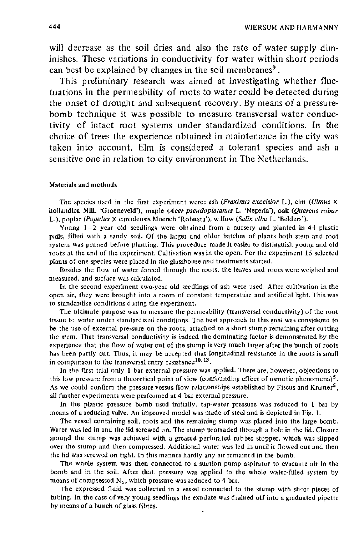will decrease as the soil dries and also the rate of water supply diminishes. These variations in conductivity for water within short periods can best be explained by changes in the soil membra

This preliminary research was aimed at investigating whether fluctuations in the permeability of roots to water could be detected during the onset of drought and subsequent recovery. By means of a pressurebomb technique it was possible to measure transversal water conductivity of intact root systems under standardized conditions. In the choice of trees the experience obtained in maintenance in the city was taken into account. Elm is considered a tolerant species and ash a sensitive one in relation to city environment in The Netherlands.

#### Materials and methods

The species used in the first experiment were: ash *(Fraxinus excelsior* L.), elm *(Ulmus* X hollandica Mill. 'Groeneveld'), maple *(Acer pseudoplatanus* L. 'Negeria'), oak *(Quercus robur*  L.), poplar *(Populus* X canadensis Moench 'Robusta'), willow *(Salix alba* L. 'Belders').

Young  $1-2$  year old seedlings were obtained from a nursery and planted in 4-1 plastic pails, filled with a sandy soil. Of the larger and older batches of plants both stem and root system was pruned before planting. This procedure made it easier to distinguish young and old roots at the end of the experiment. Cultivation was in the open. For the experiment 15 selected plants of one species were placed in the glasshouse and treatments started.

Besides the flow of water forced through the roots, the leaves and roots were weighed and measured, and surface was calculated.

In the second experiment two-year old seedlings of ash were used. After cultivation in the open air, they were brought into a room of constant temperature and artificial light. This was to standardize conditions during the experiment.

The ultimate purpose was to measure the permeability (transversal conductivity) of the root tissue to water under standardized conditions. The best approach to this goal was considered to be the use of external pressure on the roots, attached to a short stump remaining after cutting the stem. That transversal conductivity is indeed the dominating factor is demonstrated by the experience that the flow of water out of the stump is very much larger after the bunch of roots has been partly cut. Thus, it may be accepted that longitudinal resistance in the roots is small in comparison to the transversal entry resistance  $10$ 

In the first trial only 1 bar external pressure was applied. There are, however, objections to this low pressure from a theoretical point of view (confounding effect of osmotic phenor As we could confirm the pressure-versus-flow relationships established by Fiscus and Kra all further experiments were performed at 4 bar external pressure.

In the plastic pressure bomb used initially, tap-water pressure was reduced to 1 bar by means of a reducing valve. An improved model was made of steel and is depicted in Fig. 1.

The vessel containing soil, roots and the remaining stump was placed into the large bomb. Water was led in and the lid screwed on. The stump protruded through a hole in the lid. Closure around the stump was achieved with a greased perforated rubber stopper, which was slipped over the stump and then compressed. Additional water was led in until it flowed out and then the lid was screwed on tight. In this manner hardly any air remained in the bomb.

The whole system was then connected to a suction pump aspirator to evacuate air in the bomb and in the soil. After that, pressure was applied to the whole water-filled system by means of compressed  $N_2$ , which pressure was reduced to 4 bar.

The expressed fluid was collected in a vessel connected to the stump with short pieces of tubing. In the case of very young seedlings the exudate was drained off into a graduated pipette by means of a bunch of glass fibres.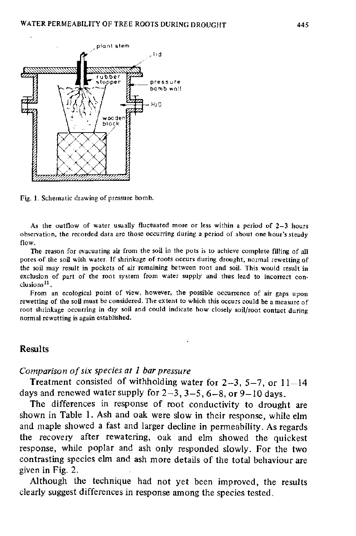

Pig. 1. Schematic drawing of pressure bomb.

As the outflow of water usually fluctuated more or less within a period of  $2-3$  hours observation, the recorded data are those occurring during a period of about one hour's steady flow.

The reason for evacuating air from the soil in the pots is to achieve complete filling of all pores of the soil with water. If shrinkage of roots occurs during drought, normal rewetting of the soil may result in pockets of air remaining between root and soil. This would result in exclusion of part of the root system from water supply and thus lead to incorrect conclusions<sup>11</sup> .

From an ecological point of view, however, the possible occurrence of air gaps upon rewetting of the soil must be considered. The extent to which this occurs could be a measure of root shrinkage occurring in dry soil and could indicate how closely soil/root contact during normal rewetting is again established.

### **Results**

### *Comparison of six species at 1 bar pressure*

Treatment consisted of withholding water for  $2-3$ ,  $5-7$ , or  $11-14$ days and renewed water supply for  $2-3$ ,  $3-5$ ,  $6-8$ , or  $9-10$  days.

The differences in response of root conductivity to drought are shown in Table 1. Ash and oak were slow in their response, while elm and maple showed a fast and larger decline in permeability. As regards the recovery after rewatering, oak and elm showed the quickest response, while poplar and ash only responded slowly. For the two contrasting species elm and ash more details of the total behaviour are given in Fig. 2.

Although the technique had not yet been improved, the results clearly suggest differences in response among the species tested.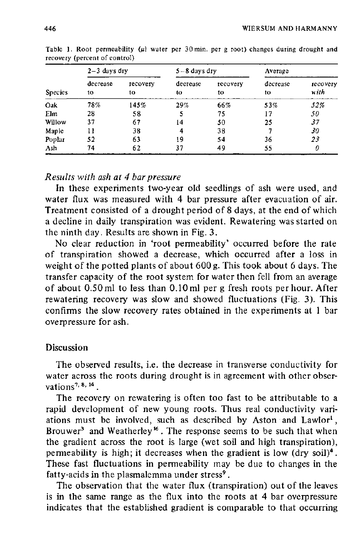| <b>Species</b> | $2-3$ days dry |                | $5 - 8$ days dry |                | Average        |                  |
|----------------|----------------|----------------|------------------|----------------|----------------|------------------|
|                | decrease<br>to | recovery<br>to | decrease<br>to   | recovery<br>to | decrease<br>to | recovery<br>with |
| Oak            | 78%            | 145%           | 29%              | 66%            | 53%            | 52%              |
| Elm            | 28             | 58             |                  | 75             | 17             | 50               |
| Willow         | 37             | 67             | 14               | 50             | 25             | 37               |
| Maple          | 11             | 38             | 4                | 38             |                | 30               |
| Poplar         | 52             | 63             | 19               | 54             | 36             | 23               |
| Ash            | 74             | 62             | 37               | 49             | 55             |                  |

Table 1. Root permeability ( $\mu$ ) water per 30 min. per g root) changes during drought and recovery (percent of control)

## *Results with ash at 4 bar pressure*

In these experiments two-year old seedlings of ash were used, and water flux was measured with 4 bar pressure after evacuation of air. Treatment consisted of a drought period of 8 days, at the end of which a decline in daily transpiration was evident. Rewatering was started on the ninth day. Results are shown in Fig. 3.

No clear reduction in 'root permeability' occurred before the rate of transpiration showed a decrease, which occurred after a loss in weight of the potted plants of about 600 g. This took about 6 days. The transfer capacity of the root system for water then fell from an average of about 0.50 ml to less than 0.10 ml per g fresh roots per hour. After rewatering recovery was slow and showed fluctuations (Fig. 3). This confirms the slow recovery rates obtained in the experiments at 1 bar overpressure for ash.

# Discussion

The observed results, i.e. the decrease in transverse conductivity for water across the roots during drought is in agreement with other observations<sup> $7, 8, 14$ </sup>

The recovery on rewatering is often too fast to be attributable to a rapid development of new young roots. Thus real conductivity variations must be involved, such as described by Aston and Law Brouwer<sup>3</sup> and Weatherley<sup>16</sup>. The response seems to be such that the gradient across the root is large (wet soil and high transpiration), permeability is high; it decreases when the gradient is low (dry These fast fluctuations in permeability may be due to changes in the fatty-acids in the plasmalemma under stres

The observation that the water flux (transpiration) out of the leaves is in the same range as the flux into the roots at 4 bar overpressure indicates that the established gradient is comparable to that occurring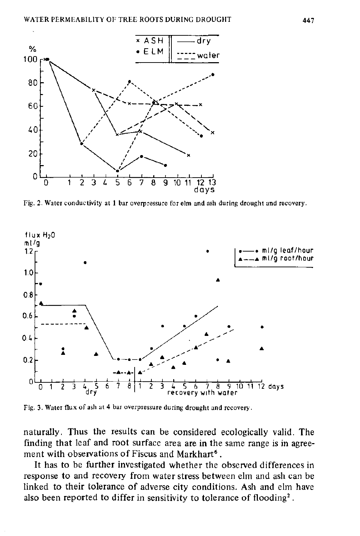

Fig. 2. Water conductivity at 1 bar overpressure for elm and ash during drought and recovery.



Fig. 3. Water flux of ash at 4 bar overpressure during drought and recovery.

naturally. Thus the results can be considered ecologically valid. The finding that leaf and root surface area are in the same range is in agreement with observations of Fiscus and Markha

It has to be further investigated whether the observed differences in response to and recovery from water stress between elm and ash can be linked to their tolerance of adverse city conditions. Ash and elm have also been reported to differ in sensitivity to tolerance of flood